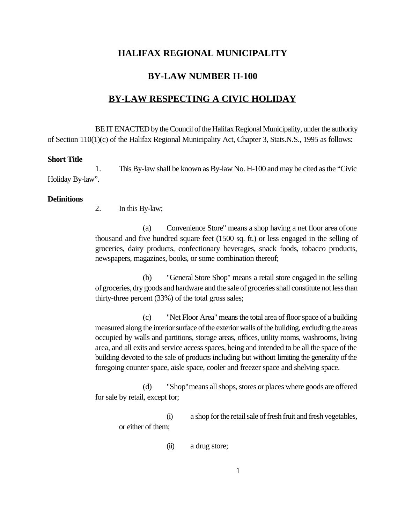# **HALIFAX REGIONAL MUNICIPALITY**

### **BY-LAW NUMBER H-100**

## **BY-LAW RESPECTING A CIVIC HOLIDAY**

BE IT ENACTED by the Council of the Halifax Regional Municipality, under the authority of Section 110(1)(c) of the Halifax Regional Municipality Act, Chapter 3, Stats.N.S., 1995 as follows:

#### **Short Title**

1. This By-law shall be known as By-law No. H-100 and may be cited as the "Civic Holiday By-law".

#### **Definitions**

2. In this By-law;

(a) Convenience Store" means a shop having a net floor area of one thousand and five hundred square feet (1500 sq. ft.) or less engaged in the selling of groceries, dairy products, confectionary beverages, snack foods, tobacco products, newspapers, magazines, books, or some combination thereof;

(b) "General Store Shop" means a retail store engaged in the selling of groceries, dry goods and hardware and the sale of groceries shall constitute not less than thirty-three percent (33%) of the total gross sales;

(c) "Net Floor Area" means the total area of floor space of a building measured along the interior surface of the exterior walls of the building, excluding the areas occupied by walls and partitions, storage areas, offices, utility rooms, washrooms, living area, and all exits and service access spaces, being and intended to be all the space of the building devoted to the sale of products including but without limiting the generality of the foregoing counter space, aisle space, cooler and freezer space and shelving space.

(d) "Shop" means all shops, stores or places where goods are offered for sale by retail, except for;

(i) a shop for the retail sale of fresh fruit and fresh vegetables, or either of them;

(ii) a drug store;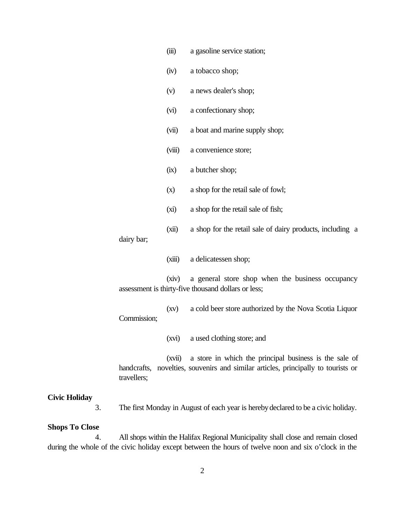(iii) a gasoline service station; (iv) a tobacco shop; (v) a news dealer's shop; (vi) a confectionary shop; (vii) a boat and marine supply shop; (viii) a convenience store; (ix) a butcher shop; (x) a shop for the retail sale of fowl; (xi) a shop for the retail sale of fish; (xii) a shop for the retail sale of dairy products, including a dairy bar; (xiii) a delicatessen shop; (xiv) a general store shop when the business occupancy assessment is thirty-five thousand dollars or less; (xv) a cold beer store authorized by the Nova Scotia Liquor Commission; (xvi) a used clothing store; and (xvii) a store in which the principal business is the sale of handcrafts, novelties, souvenirs and similar articles, principally to tourists or travellers;

### **Civic Holiday**

3. The first Monday in August of each year is hereby declared to be a civic holiday.

#### **Shops To Close**

4. All shops within the Halifax Regional Municipality shall close and remain closed during the whole of the civic holiday except between the hours of twelve noon and six o'clock in the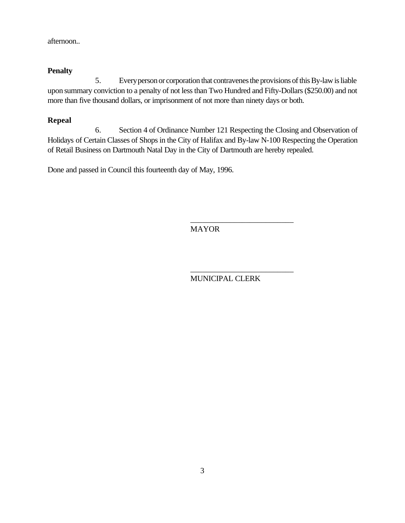afternoon..

## **Penalty**

5. Every person or corporation that contravenes the provisions of this By-law is liable upon summary conviction to a penalty of not less than Two Hundred and Fifty-Dollars (\$250.00) and not more than five thousand dollars, or imprisonment of not more than ninety days or both.

## **Repeal**

6. Section 4 of Ordinance Number 121 Respecting the Closing and Observation of Holidays of Certain Classes of Shops in the City of Halifax and By-law N-100 Respecting the Operation of Retail Business on Dartmouth Natal Day in the City of Dartmouth are hereby repealed.

Done and passed in Council this fourteenth day of May, 1996.

MAYOR

MUNICIPAL CLERK

\_\_\_\_\_\_\_\_\_\_\_\_\_\_\_\_\_\_\_\_\_\_\_\_\_\_

\_\_\_\_\_\_\_\_\_\_\_\_\_\_\_\_\_\_\_\_\_\_\_\_\_\_